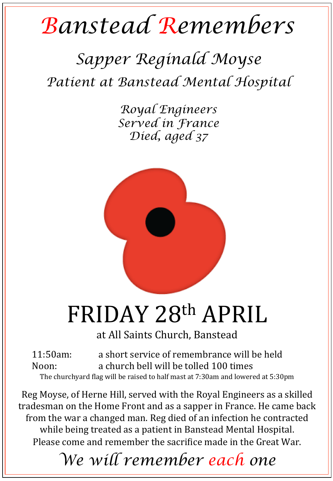## *Banstead Remembers*

## *Sapper Reginald Moyse Patient at Banstead Mental Hospital*

*Royal Engineers Served in France Died, aged 37* 



## FRIDAY 28th APRIL

at All Saints Church, Banstead

11:50am: a short service of remembrance will be held Noon: a church bell will be tolled 100 times The churchyard flag will be raised to half mast at 7:30am and lowered at 5:30pm

Reg Moyse, of Herne Hill, served with the Royal Engineers as a skilled tradesman on the Home Front and as a sapper in France. He came back from the war a changed man. Reg died of an infection he contracted while being treated as a patient in Banstead Mental Hospital. Please come and remember the sacrifice made in the Great War.

*We will remember each one*